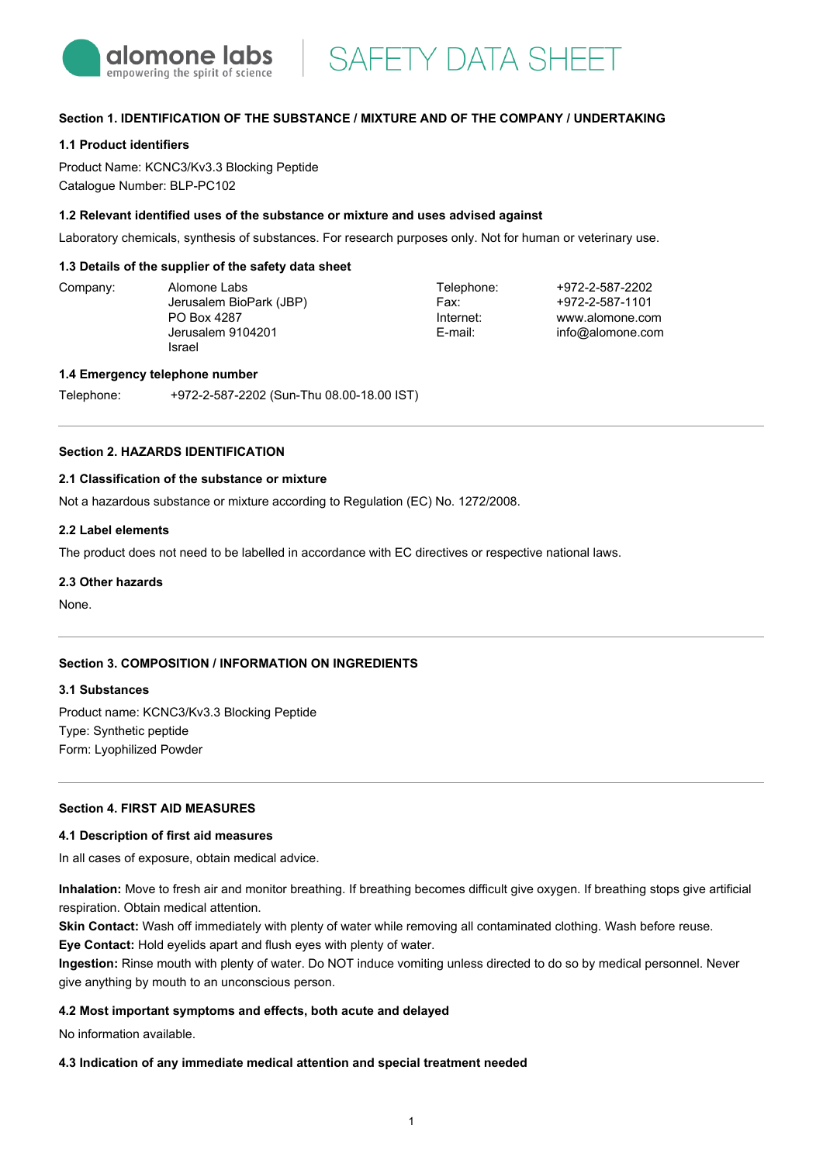

**SAFETY DATA SHEET** 

## **Section 1. IDENTIFICATION OF THE SUBSTANCE / MIXTURE AND OF THE COMPANY / UNDERTAKING**

## **1.1 Product identifiers**

Product Name: KCNC3/Kv3.3 Blocking Peptide Catalogue Number: BLP-PC102

#### **1.2 Relevant identified uses of the substance or mixture and uses advised against**

Laboratory chemicals, synthesis of substances. For research purposes only. Not for human or veterinary use.

### **1.3 Details of the supplier of the safety data sheet**

Company: Alomone Labs Jerusalem BioPark (JBP) PO Box 4287 Jerusalem 9104201 Israel

Telephone: Fax: Internet: E-mail:

+972-2-587-2202 +972-2-587-1101 www.alomone.com info@alomone.com

#### **1.4 Emergency telephone number**

Telephone: +972-2-587-2202 (Sun-Thu 08.00-18.00 IST)

## **Section 2. HAZARDS IDENTIFICATION**

## **2.1 Classification of the substance or mixture**

Not a hazardous substance or mixture according to Regulation (EC) No. 1272/2008.

#### **2.2 Label elements**

The product does not need to be labelled in accordance with EC directives or respective national laws.

### **2.3 Other hazards**

None.

## **Section 3. COMPOSITION / INFORMATION ON INGREDIENTS**

#### **3.1 Substances**

Product name: KCNC3/Kv3.3 Blocking Peptide Type: Synthetic peptide Form: Lyophilized Powder

## **Section 4. FIRST AID MEASURES**

#### **4.1 Description of first aid measures**

In all cases of exposure, obtain medical advice.

**Inhalation:** Move to fresh air and monitor breathing. If breathing becomes difficult give oxygen. If breathing stops give artificial respiration. Obtain medical attention.

**Skin Contact:** Wash off immediately with plenty of water while removing all contaminated clothing. Wash before reuse.

**Eye Contact:** Hold eyelids apart and flush eyes with plenty of water.

**Ingestion:** Rinse mouth with plenty of water. Do NOT induce vomiting unless directed to do so by medical personnel. Never give anything by mouth to an unconscious person.

## **4.2 Most important symptoms and effects, both acute and delayed**

No information available.

### **4.3 Indication of any immediate medical attention and special treatment needed**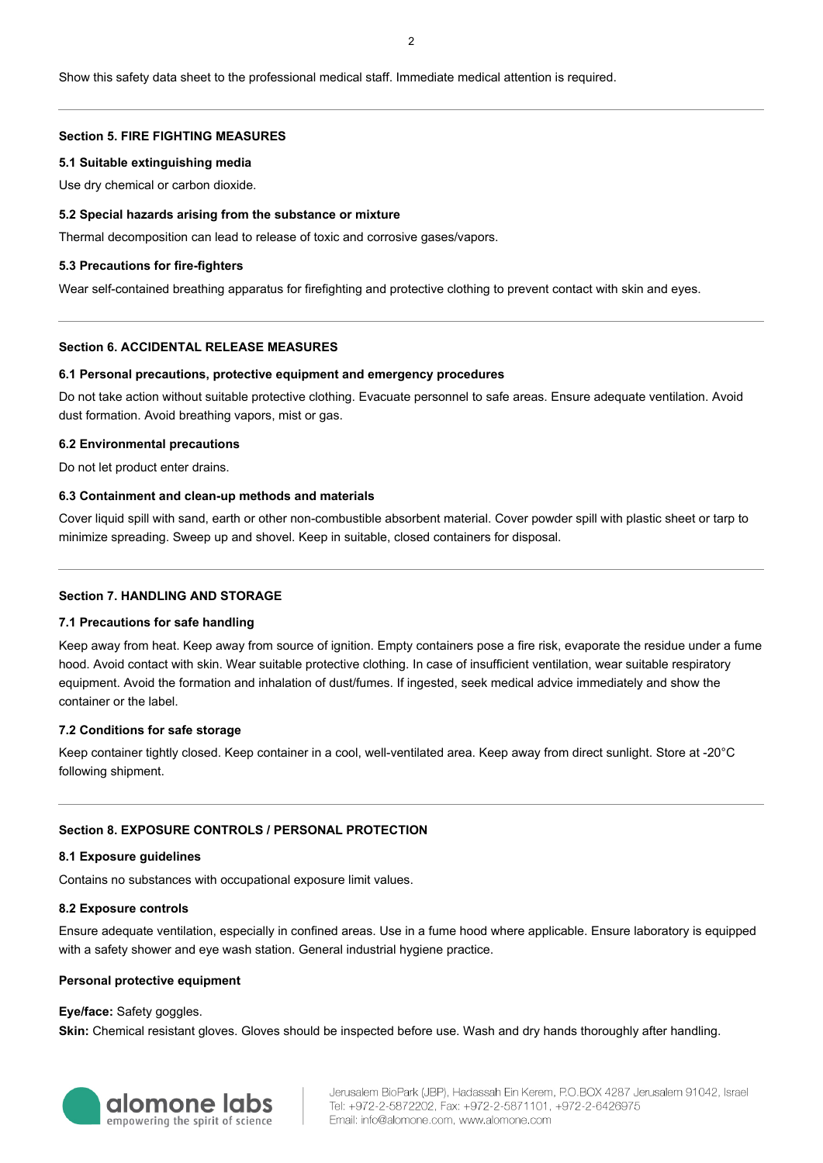## **Section 5. FIRE FIGHTING MEASURES**

### **5.1 Suitable extinguishing media**

Use dry chemical or carbon dioxide.

## **5.2 Special hazards arising from the substance or mixture**

Thermal decomposition can lead to release of toxic and corrosive gases/vapors.

## **5.3 Precautions for fire-fighters**

Wear self-contained breathing apparatus for firefighting and protective clothing to prevent contact with skin and eyes.

## **Section 6. ACCIDENTAL RELEASE MEASURES**

## **6.1 Personal precautions, protective equipment and emergency procedures**

Do not take action without suitable protective clothing. Evacuate personnel to safe areas. Ensure adequate ventilation. Avoid dust formation. Avoid breathing vapors, mist or gas.

### **6.2 Environmental precautions**

Do not let product enter drains.

## **6.3 Containment and clean-up methods and materials**

Cover liquid spill with sand, earth or other non-combustible absorbent material. Cover powder spill with plastic sheet or tarp to minimize spreading. Sweep up and shovel. Keep in suitable, closed containers for disposal.

## **Section 7. HANDLING AND STORAGE**

### **7.1 Precautions for safe handling**

Keep away from heat. Keep away from source of ignition. Empty containers pose a fire risk, evaporate the residue under a fume hood. Avoid contact with skin. Wear suitable protective clothing. In case of insufficient ventilation, wear suitable respiratory equipment. Avoid the formation and inhalation of dust/fumes. If ingested, seek medical advice immediately and show the container or the label.

## **7.2 Conditions for safe storage**

Keep container tightly closed. Keep container in a cool, well-ventilated area. Keep away from direct sunlight. Store at -20°C following shipment.

## **Section 8. EXPOSURE CONTROLS / PERSONAL PROTECTION**

### **8.1 Exposure guidelines**

Contains no substances with occupational exposure limit values.

### **8.2 Exposure controls**

Ensure adequate ventilation, especially in confined areas. Use in a fume hood where applicable. Ensure laboratory is equipped with a safety shower and eye wash station. General industrial hygiene practice.

### **Personal protective equipment**

### **Eye/face:** Safety goggles.

**Skin:** Chemical resistant gloves. Gloves should be inspected before use. Wash and dry hands thoroughly after handling.

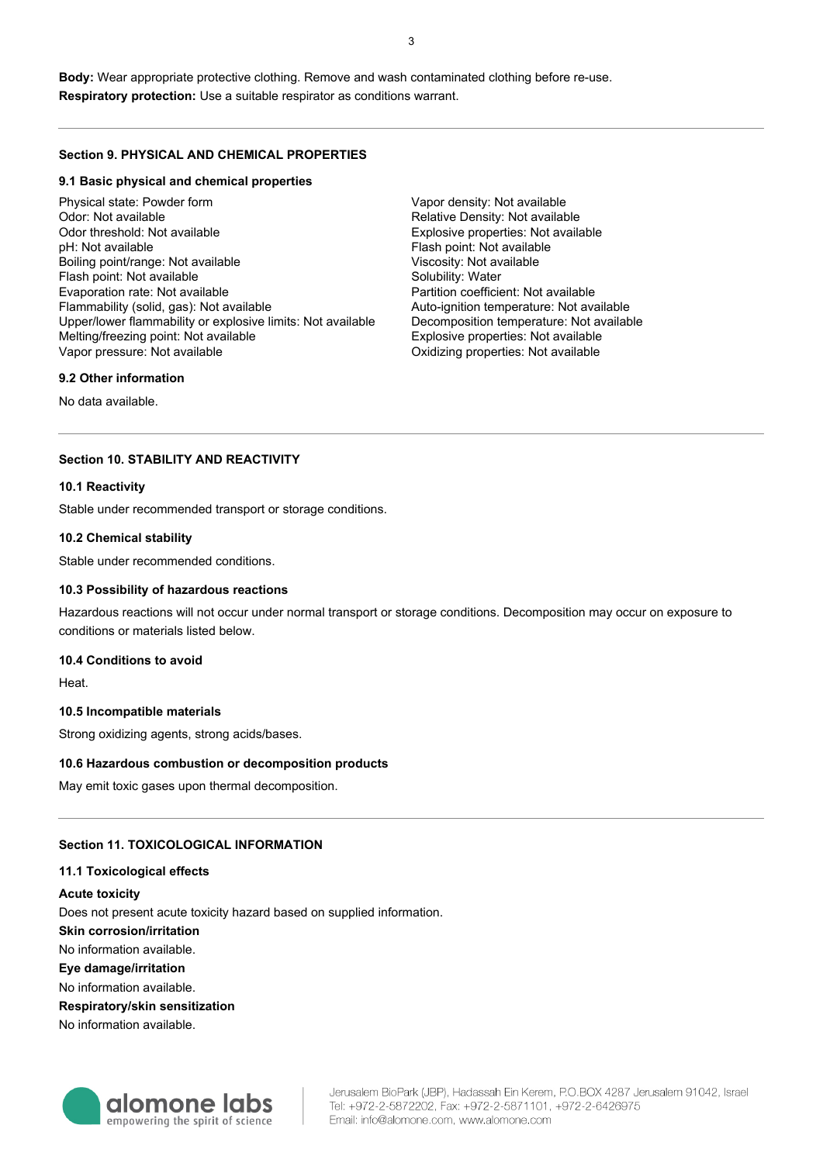**Body:** Wear appropriate protective clothing. Remove and wash contaminated clothing before re-use. **Respiratory protection:** Use a suitable respirator as conditions warrant.

### **Section 9. PHYSICAL AND CHEMICAL PROPERTIES**

#### **9.1 Basic physical and chemical properties**

Physical state: Powder form Odor: Not available Odor threshold: Not available pH: Not available Boiling point/range: Not available Flash point: Not available Evaporation rate: Not available Flammability (solid, gas): Not available Upper/lower flammability or explosive limits: Not available Melting/freezing point: Not available Vapor pressure: Not available

Vapor density: Not available Relative Density: Not available Explosive properties: Not available Flash point: Not available Viscosity: Not available Solubility: Water Partition coefficient: Not available Auto-ignition temperature: Not available Decomposition temperature: Not available Explosive properties: Not available Oxidizing properties: Not available

#### **9.2 Other information**

No data available.

## **Section 10. STABILITY AND REACTIVITY**

#### **10.1 Reactivity**

Stable under recommended transport or storage conditions.

#### **10.2 Chemical stability**

Stable under recommended conditions.

#### **10.3 Possibility of hazardous reactions**

Hazardous reactions will not occur under normal transport or storage conditions. Decomposition may occur on exposure to conditions or materials listed below.

#### **10.4 Conditions to avoid**

Heat.

#### **10.5 Incompatible materials**

Strong oxidizing agents, strong acids/bases.

### **10.6 Hazardous combustion or decomposition products**

May emit toxic gases upon thermal decomposition.

#### **Section 11. TOXICOLOGICAL INFORMATION**

#### **11.1 Toxicological effects**

#### **Acute toxicity**

Does not present acute toxicity hazard based on supplied information.

## **Skin corrosion/irritation**

No information available.

**Eye damage/irritation**

No information available.

#### **Respiratory/skin sensitization**

No information available.



Jerusalem BioPark (JBP), Hadassah Ein Kerem, P.O.BOX 4287 Jerusalem 91042, Israel Tel: +972-2-5872202, Fax: +972-2-5871101, +972-2-6426975 Email: info@alomone.com, www.alomone.com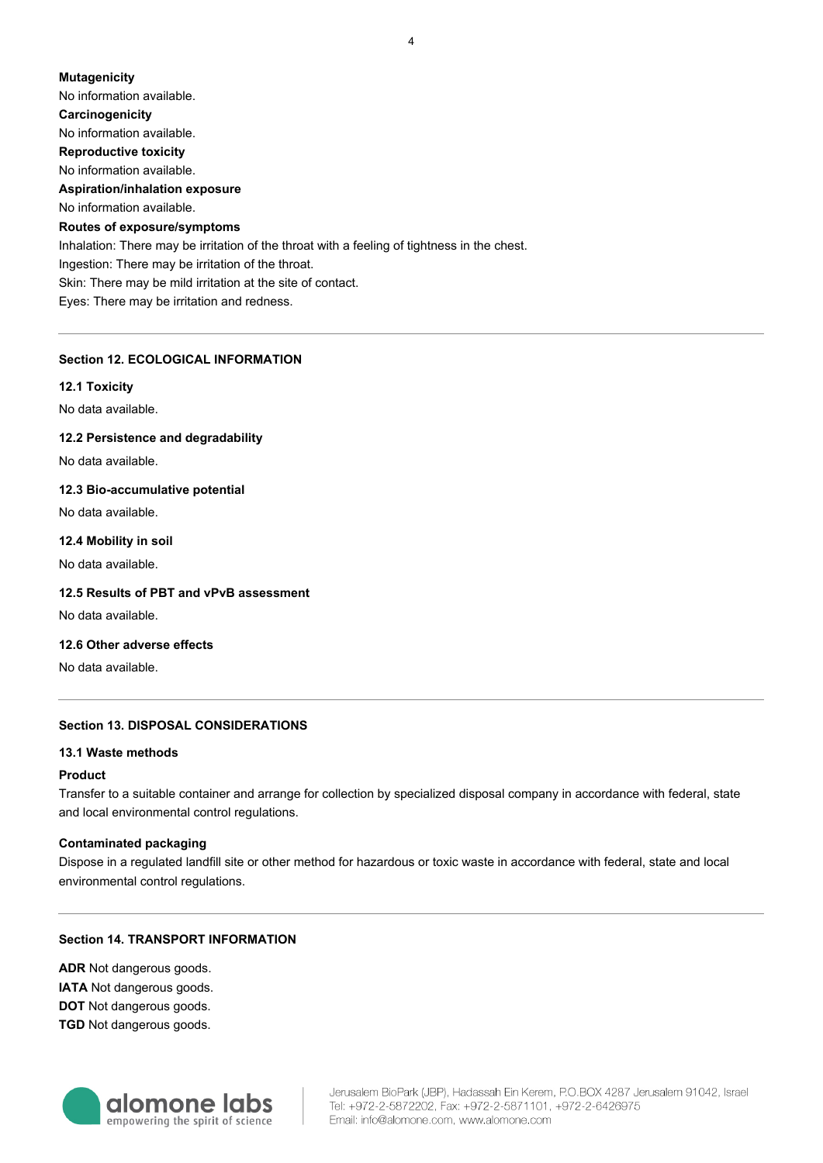# **Mutagenicity** No information available. **Carcinogenicity** No information available. **Reproductive toxicity** No information available. **Aspiration/inhalation exposure** No information available. **Routes of exposure/symptoms** Inhalation: There may be irritation of the throat with a feeling of tightness in the chest. Ingestion: There may be irritation of the throat. Skin: There may be mild irritation at the site of contact. Eyes: There may be irritation and redness.

## **Section 12. ECOLOGICAL INFORMATION**

**12.1 Toxicity**

No data available.

**12.2 Persistence and degradability**

No data available.

## **12.3 Bio-accumulative potential**

No data available.

### **12.4 Mobility in soil**

No data available.

### **12.5 Results of PBT and vPvB assessment**

No data available.

## **12.6 Other adverse effects**

No data available.

## **Section 13. DISPOSAL CONSIDERATIONS**

## **13.1 Waste methods**

### **Product**

Transfer to a suitable container and arrange for collection by specialized disposal company in accordance with federal, state and local environmental control regulations.

### **Contaminated packaging**

Dispose in a regulated landfill site or other method for hazardous or toxic waste in accordance with federal, state and local environmental control regulations.

## **Section 14. TRANSPORT INFORMATION**

**ADR** Not dangerous goods. **IATA** Not dangerous goods. **DOT** Not dangerous goods. **TGD** Not dangerous goods.